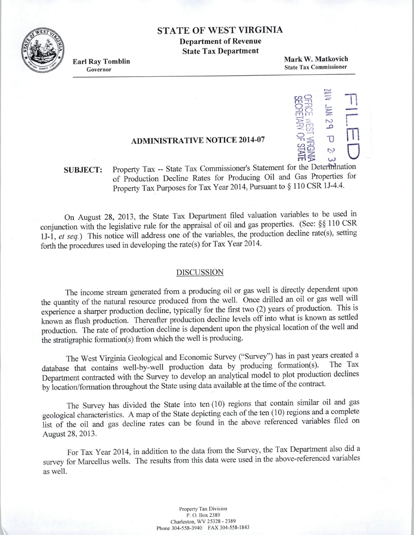## **STATE OF WEST VIRGINIA**

**Department of Revenue State Tax Department** 



**Earl Ray Tomblin**  Governor

**Mark W. Matkovich**  State Tax Commissioner

## **11 11 29<br>
OFFICE WERE<br>
OFFICE WERE<br>
OFFICE WERE** *cn*fTl *O*   $\supset$   $\frac{1}{\sqrt{1-\frac{1}{\sqrt{1-\frac{1}{\sqrt{1-\frac{1}{\sqrt{1-\frac{1}{\sqrt{1-\frac{1}{\sqrt{1-\frac{1}{\sqrt{1-\frac{1}{\sqrt{1-\frac{1}{\sqrt{1-\frac{1}{\sqrt{1-\frac{1}{\sqrt{1-\frac{1}{\sqrt{1-\frac{1}{\sqrt{1-\frac{1}{\sqrt{1-\frac{1}{\sqrt{1-\frac{1}{\sqrt{1-\frac{1}{\sqrt{1-\frac{1}{\sqrt{1-\frac{1}{\sqrt{1-\frac{1}{\sqrt{1-\frac{1}{\sqrt{1-\frac{1}{\sqrt{1-\frac{1}{\sqrt{1-\frac{1}{\sqrt$ -n $n \leq U$  $\omega \approx$  $\ddot{\sim}$  $m > w$ **r** I **m**   $\bigcup$

**SUBJECT:**  Property Tax -- State Tax Commissioner's Statement for the Determination of Production Decline Rates for Producing Oil and Gas Properties for Property Tax Purposes for Tax Year 2014, Pursuant to§ 110 CSR 11-4.4.

**ADMINISTRATIVE NOTICE 2014-07** 

On August 28, 2013, the State Tax Department filed valuation variables to be used in conjunction with the legislative rule for the appraisal of oil and gas properties. (See: §§ 110 CSR 11-1, *et seq.)* This notice will address one of the variables, the production decline rate(s), setting forth the procedures used in developing the rate(s) for Tax Year 2014.

## DISCUSSION

The income stream generated from a producing oil or gas well is directly dependent upon the quantity of the natural resource produced from the well. Once drilled an oil or gas well will experience a sharper production decline, typically for the first two (2) years of production. This is known as flush production. Thereafter production decline levels off into what is known as settled production. The rate of production decline is dependent upon the physical location of the well and the stratigraphic formation(s) from which the well is producing.

The West Virginia Geological and Economic Survey ("Survey") has in past years created a database that contains well-by-well production data by producing formation(s). Department contracted with the Survey to develop an analytical model to plot production declines by location/formation throughout the State using data available at the time of the contract.

The Survey has divided the State into ten (10) regions that contain similar oil and gas geological characteristics. A map of the State depicting each of the ten (10) regions and a complete list of the oil and gas decline rates can be found in the above referenced variables filed on August 28, 2013.

For Tax Year 2014, in addition to the data from the Survey, the Tax Department also did a survey for Marcellus wells. The results from this data were used in the above-referenced variables as well.